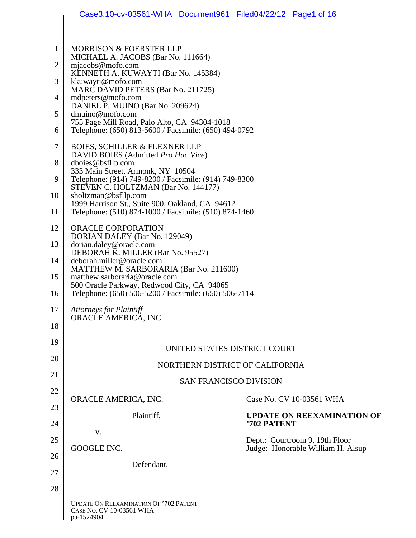|                | Case3:10-cv-03561-WHA Document961 Filed04/22/12 Page1 of 16                                              |             |                                   |  |  |
|----------------|----------------------------------------------------------------------------------------------------------|-------------|-----------------------------------|--|--|
| $\mathbf{1}$   | <b>MORRISON &amp; FOERSTER LLP</b>                                                                       |             |                                   |  |  |
| $\overline{2}$ | MICHAEL A. JACOBS (Bar No. 111664)<br>mjacobs@mofo.com                                                   |             |                                   |  |  |
| 3              | KENNETH A. KUWAYTI (Bar No. 145384)<br>kkuwayti@mofo.com                                                 |             |                                   |  |  |
| 4              | MARC DAVID PETERS (Bar No. 211725)<br>mdpeters@mofo.com                                                  |             |                                   |  |  |
|                | DANIEL P. MUINO (Bar No. 209624)<br>dmuino@mofo.com                                                      |             |                                   |  |  |
|                | 755 Page Mill Road, Palo Alto, CA 94304-1018<br>Telephone: (650) 813-5600 / Facsimile: (650) 494-0792    |             |                                   |  |  |
|                | <b>BOIES, SCHILLER &amp; FLEXNER LLP</b>                                                                 |             |                                   |  |  |
|                | DAVID BOIES (Admitted Pro Hac Vice)<br>dboies@bsfllp.com                                                 |             |                                   |  |  |
|                | 333 Main Street, Armonk, NY 10504<br>Telephone: (914) 749-8200 / Facsimile: (914) 749-8300               |             |                                   |  |  |
|                | STEVEN C. HOLTZMAN (Bar No. 144177)<br>sholtzman@bsfllp.com                                              |             |                                   |  |  |
|                | 1999 Harrison St., Suite 900, Oakland, CA 94612<br>Telephone: (510) 874-1000 / Facsimile: (510) 874-1460 |             |                                   |  |  |
|                | ORACLE CORPORATION                                                                                       |             |                                   |  |  |
|                | DORIAN DALEY (Bar No. 129049)<br>dorian.daley@oracle.com                                                 |             |                                   |  |  |
|                | DEBORAH K. MILLER (Bar No. 95527)<br>deborah.miller@oracle.com                                           |             |                                   |  |  |
|                | MATTHEW M. SARBORARIA (Bar No. 211600)<br>matthew.sarboraria@oracle.com                                  |             |                                   |  |  |
|                | 500 Oracle Parkway, Redwood City, CA 94065<br>Telephone: (650) 506-5200 / Facsimile: (650) 506-7114      |             |                                   |  |  |
|                | <b>Attorneys for Plaintiff</b><br>ORACLE AMERICA, INC.                                                   |             |                                   |  |  |
|                |                                                                                                          |             |                                   |  |  |
|                | UNITED STATES DISTRICT COURT                                                                             |             |                                   |  |  |
|                | NORTHERN DISTRICT OF CALIFORNIA                                                                          |             |                                   |  |  |
|                | <b>SAN FRANCISCO DIVISION</b>                                                                            |             |                                   |  |  |
|                | ORACLE AMERICA, INC.                                                                                     |             | Case No. CV 10-03561 WHA          |  |  |
|                | Plaintiff,                                                                                               | '702 PATENT | <b>UPDATE ON REEXAMINATION OF</b> |  |  |
|                | V.                                                                                                       |             | Dept.: Courtroom 9, 19th Floor    |  |  |
|                | GOOGLE INC.                                                                                              |             | Judge: Honorable William H. Alsup |  |  |
|                | Defendant.                                                                                               |             |                                   |  |  |
|                |                                                                                                          |             |                                   |  |  |
|                | <b>UPDATE ON REEXAMINATION OF '702 PATENT</b><br>CASE No. CV 10-03561 WHA<br>pa-1524904                  |             |                                   |  |  |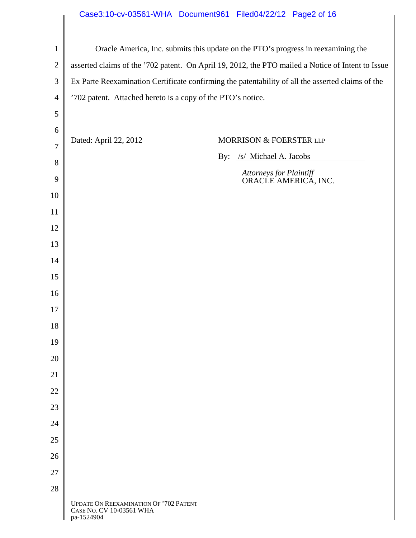# Case3:10-cv-03561-WHA Document961 Filed04/22/12 Page2 of 16

| $\mathbf{1}$   |                                                                                                   | Oracle America, Inc. submits this update on the PTO's progress in reexamining the |  |  |  |
|----------------|---------------------------------------------------------------------------------------------------|-----------------------------------------------------------------------------------|--|--|--|
| $\overline{2}$ | asserted claims of the '702 patent. On April 19, 2012, the PTO mailed a Notice of Intent to Issue |                                                                                   |  |  |  |
| 3              | Ex Parte Reexamination Certificate confirming the patentability of all the asserted claims of the |                                                                                   |  |  |  |
| $\overline{4}$ | '702 patent. Attached hereto is a copy of the PTO's notice.                                       |                                                                                   |  |  |  |
| 5              |                                                                                                   |                                                                                   |  |  |  |
| 6              |                                                                                                   |                                                                                   |  |  |  |
| $\tau$         | Dated: April 22, 2012                                                                             | MORRISON & FOERSTER LLP                                                           |  |  |  |
| 8              |                                                                                                   | /s/ Michael A. Jacobs<br>By:                                                      |  |  |  |
| 9              |                                                                                                   | Attorneys for Plaintiff<br>ORACLE AMERICA, INC.                                   |  |  |  |
| 10             |                                                                                                   |                                                                                   |  |  |  |
| 11             |                                                                                                   |                                                                                   |  |  |  |
| 12             |                                                                                                   |                                                                                   |  |  |  |
| 13             |                                                                                                   |                                                                                   |  |  |  |
| 14             |                                                                                                   |                                                                                   |  |  |  |
| 15             |                                                                                                   |                                                                                   |  |  |  |
| 16             |                                                                                                   |                                                                                   |  |  |  |
| 17             |                                                                                                   |                                                                                   |  |  |  |
| 18             |                                                                                                   |                                                                                   |  |  |  |
| 19             |                                                                                                   |                                                                                   |  |  |  |
| 20             |                                                                                                   |                                                                                   |  |  |  |
| 21             |                                                                                                   |                                                                                   |  |  |  |
| 22             |                                                                                                   |                                                                                   |  |  |  |
| 23             |                                                                                                   |                                                                                   |  |  |  |
| 24             |                                                                                                   |                                                                                   |  |  |  |
| 25             |                                                                                                   |                                                                                   |  |  |  |
| 26             |                                                                                                   |                                                                                   |  |  |  |
| 27             |                                                                                                   |                                                                                   |  |  |  |
| 28             |                                                                                                   |                                                                                   |  |  |  |
|                | <b>UPDATE ON REEXAMINATION OF '702 PATENT</b><br>CASE NO. CV 10-03561 WHA<br>pa-1524904           |                                                                                   |  |  |  |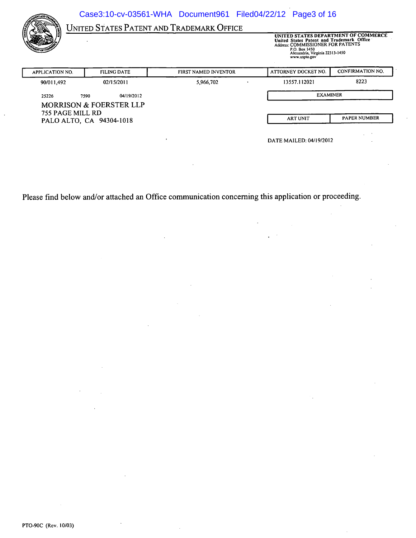Case3:10-cv-03561-WHA Document961 Filed04/22/12 Page3 of 16

UNITED STATES PATENT AND TRADEMARK OFFICE

UNITED STATES DEPARTMENT OF COMMERCE<br>United States Patent and Trademark Office<br>Address: COMMISSIONER FOR PATENTS<br>P.O. Box 1450<br>Alexandria, Virginia 22313-1450<br>www.uspto.gov

| <b>APPLICATION NO.</b> | <b>FILING DATE</b>                 | <b>FIRST NAMED INVENTOR</b> | ATTORNEY DOCKET NO.  | CONFIRMATION NO. |  |
|------------------------|------------------------------------|-----------------------------|----------------------|------------------|--|
| 90/011,492             | 02/15/2011                         | 5,966,702                   | 8223<br>13557.112021 |                  |  |
| 25226                  | 04/19/2012<br>7590                 |                             | <b>EXAMINER</b>      |                  |  |
| 755 PAGE MILL RD       | <b>MORRISON &amp; FOERSTER LLP</b> |                             |                      |                  |  |
|                        | PALO ALTO, CA 94304-1018           |                             | <b>ART UNIT</b>      | PAPER NUMBER     |  |

Please find below and/or attached an Office communication concerning this application or proceeding.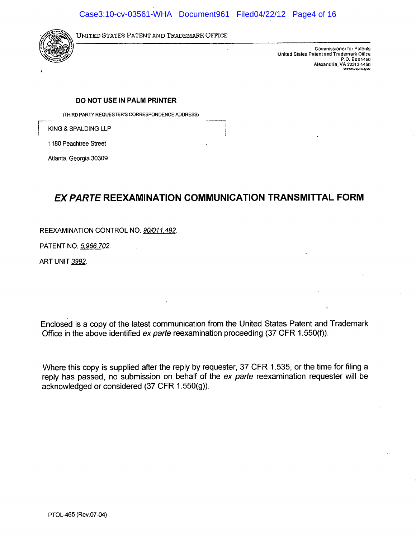

UNITED STATES PATENT AND TRADEMARK OFFICE

Commissioner for Patents United States Patent and Trademark Office P.O. Box 1450 Alexandria, VA 22313-1450

#### DO NOT USE IN PALM PRINTER

(THIRD PARTY REQUESTER'S CORRESPONDENCE ADDRESS)

KING & SPALDING LLP

1180 Peachtree Street

Atlanta, Georgia 30309

# EX PARTE REEXAMINATION COMMUNICATION TRANSMITTAL FORM

REEXAMINATION CONTROL NO. 90/011,492.

PATENT NO. 5,966,702.

ART UNIT 3992.

Enclosed is a copy of the latest communication from the United States Patent and Trademark Office in the above identified ex parte reexamination proceeding (37 CFR 1.550(f)).

Where this copy is supplied after the reply by requester, 37 CFR 1.535, or the time for filing a reply has passed, no submission on behalf of the ex parte reexamination requester will be acknowledged or considered (37 CFR 1.550(g)).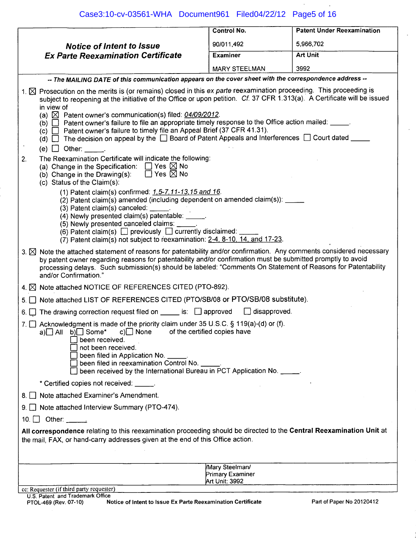Case3:10-cv-03561-WHA Document961 Filed04/22/12 Page5 of 16

|                                                                                                                                                                                                                                                                                                                                                                                                                                                                                                                                                                                                                                                                                                  | <b>Control No.</b>   | <b>Patent Under Reexamination</b> |  |  |  |
|--------------------------------------------------------------------------------------------------------------------------------------------------------------------------------------------------------------------------------------------------------------------------------------------------------------------------------------------------------------------------------------------------------------------------------------------------------------------------------------------------------------------------------------------------------------------------------------------------------------------------------------------------------------------------------------------------|----------------------|-----------------------------------|--|--|--|
| <b>Notice of Intent to Issue</b>                                                                                                                                                                                                                                                                                                                                                                                                                                                                                                                                                                                                                                                                 | 90/011,492           | 5,966,702                         |  |  |  |
| <b>Ex Parte Reexamination Certificate</b>                                                                                                                                                                                                                                                                                                                                                                                                                                                                                                                                                                                                                                                        | <b>Examiner</b>      | <b>Art Unit</b>                   |  |  |  |
|                                                                                                                                                                                                                                                                                                                                                                                                                                                                                                                                                                                                                                                                                                  | <b>MARY STEELMAN</b> | 3992                              |  |  |  |
| -- The MAILING DATE of this communication appears on the cover sheet with the correspondence address --                                                                                                                                                                                                                                                                                                                                                                                                                                                                                                                                                                                          |                      |                                   |  |  |  |
| 1. <b>X</b> Prosecution on the merits is (or remains) closed in this ex parte reexamination proceeding. This proceeding is<br>subject to reopening at the initiative of the Office or upon petition. Cf. 37 CFR 1.313(a). A Certificate will be issued<br>in view of<br>(a) $\boxtimes$ Patent owner's communication(s) filed: 04/09/2012.<br>(b) $\Box$ Patent owner's failure to file an appropriate timely response to the Office action mailed: _____.<br>(c) $\Box$ Patent owner's failure to timely file an Appeal Brief (37 CFR 41.31).<br>(d) $\Box$ The decision on appeal by the $\Box$ Board of Patent Appeals and Interferences $\Box$ Court dated ____<br>(e) $\Box$ Other: ______. |                      |                                   |  |  |  |
| The Reexamination Certificate will indicate the following:<br>2.<br>(a) Change in the Specification: $\Box$ Yes $\boxtimes$ No<br>(b) Change in the Drawing(s): $\Box$ Yes $\boxtimes$ No<br>(c) Status of the Claim(s):                                                                                                                                                                                                                                                                                                                                                                                                                                                                         |                      |                                   |  |  |  |
| (1) Patent claim(s) confirmed: 1, 5-7, 11-13, 15 and 16.<br>(2) Patent claim(s) amended (including dependent on amended claim(s)): _ ___<br>(3) Patent claim(s) canceled: _____<br>(4) Newly presented claim(s) patentable: _____.<br>(5) Newly presented canceled claims:<br>(6) Patent claim(s)<br>$\Box$ previously $\Box$ currently disclaimed:<br>(7) Patent claim(s) not subject to reexamination: 2-4, 8-10, 14, and 17-23.                                                                                                                                                                                                                                                               |                      |                                   |  |  |  |
| 3. X Note the attached statement of reasons for patentability and/or confirmation. Any comments considered necessary<br>by patent owner regarding reasons for patentability and/or confirmation must be submitted promptly to avoid<br>processing delays. Such submission(s) should be labeled: "Comments On Statement of Reasons for Patentability<br>and/or Confirmation."                                                                                                                                                                                                                                                                                                                     |                      |                                   |  |  |  |
| 4. X Note attached NOTICE OF REFERENCES CITED (PTO-892).                                                                                                                                                                                                                                                                                                                                                                                                                                                                                                                                                                                                                                         |                      |                                   |  |  |  |
| 5. Note attached LIST OF REFERENCES CITED (PTO/SB/08 or PTO/SB/08 substitute).                                                                                                                                                                                                                                                                                                                                                                                                                                                                                                                                                                                                                   |                      |                                   |  |  |  |
| 6. The drawing correction request filed on $\Box$ is: $\Box$ approved                                                                                                                                                                                                                                                                                                                                                                                                                                                                                                                                                                                                                            | $\Box$ disapproved.  |                                   |  |  |  |
| 7. Acknowledgment is made of the priority claim under 35 U.S.C. § 119(a)-(d) or (f).<br>of the certified copies have<br>a) $\Box$ All b) $\Box$ Some* c) $\Box$ None<br>been received.<br>not been received.<br>been filed in Application No. _____.<br>been filed in reexamination Control No. _____.<br>been received by the International Bureau in PCT Application No. _____.                                                                                                                                                                                                                                                                                                                |                      |                                   |  |  |  |
| * Certified copies not received: _____.                                                                                                                                                                                                                                                                                                                                                                                                                                                                                                                                                                                                                                                          |                      |                                   |  |  |  |
| 8. A Note attached Examiner's Amendment.                                                                                                                                                                                                                                                                                                                                                                                                                                                                                                                                                                                                                                                         |                      |                                   |  |  |  |
| 9. Note attached Interview Summary (PTO-474).                                                                                                                                                                                                                                                                                                                                                                                                                                                                                                                                                                                                                                                    |                      |                                   |  |  |  |
| 10. $\Box$ Other: $\_\_\_\_\_\_\_\_\$                                                                                                                                                                                                                                                                                                                                                                                                                                                                                                                                                                                                                                                            |                      |                                   |  |  |  |
| All correspondence relating to this reexamination proceeding should be directed to the Central Reexamination Unit at<br>the mail, FAX, or hand-carry addresses given at the end of this Office action.                                                                                                                                                                                                                                                                                                                                                                                                                                                                                           |                      |                                   |  |  |  |
| <b>Mary Steelman/</b><br>Primary Examiner<br>Art Unit: 3992                                                                                                                                                                                                                                                                                                                                                                                                                                                                                                                                                                                                                                      |                      |                                   |  |  |  |
| cc: Requester (if third party requester)<br>U.S. Patent and Trademark Office                                                                                                                                                                                                                                                                                                                                                                                                                                                                                                                                                                                                                     |                      |                                   |  |  |  |

Notice of Intent to Issue Ex Parte Reexamination Certificate PTOL-469 (Rev. 07-10)

 $\langle \cdot \rangle$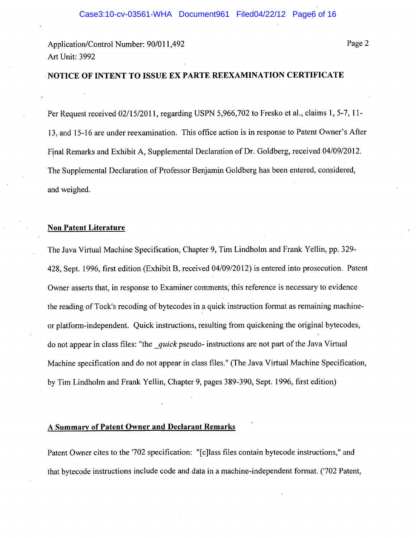Page 2

# NOTICE OF INTENT TO ISSUE EX PARTE REEXAMINATION CERTIFICATE

Per Request received 02/15/2011, regarding USPN 5,966,702 to Fresko et al., claims 1, 5-7, 11-13, and 15-16 are under reexamination. This office action is in response to Patent Owner's After Final Remarks and Exhibit A, Supplemental Declaration of Dr. Goldberg, received 04/09/2012. The Supplemental Declaration of Professor Benjamin Goldberg has been entered, considered, and weighed.

#### **Non Patent Literature**

The Java Virtual Machine Specification, Chapter 9, Tim Lindholm and Frank Yellin, pp. 329-428, Sept. 1996, first edition (Exhibit B, received 04/09/2012) is entered into prosecution. Patent Owner asserts that, in response to Examiner comments, this reference is necessary to evidence the reading of Tock's recoding of bytecodes in a quick instruction format as remaining machineor platform-independent. Quick instructions, resulting from quickening the original bytecodes, do not appear in class files: "the quick pseudo- instructions are not part of the Java Virtual Machine specification and do not appear in class files." (The Java Virtual Machine Specification, by Tim Lindholm and Frank Yellin, Chapter 9, pages 389-390, Sept. 1996, first edition)

## A Summary of Patent Owner and Declarant Remarks

Patent Owner cites to the '702 specification: "[c]lass files contain bytecode instructions." and that bytecode instructions include code and data in a machine-independent format. ('702 Patent,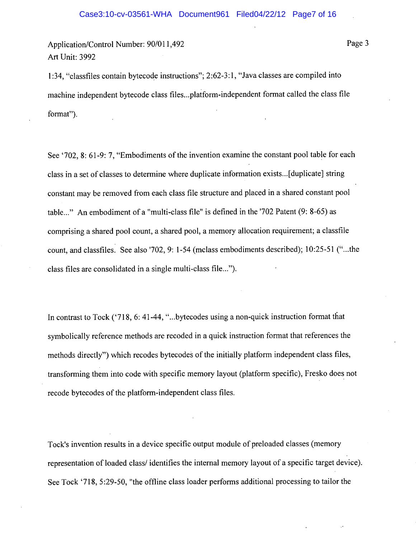1:34, "classfiles contain bytecode instructions"; 2:62-3:1, "Java classes are compiled into machine independent bytecode class files...platform-independent format called the class file format").

See '702, 8: 61-9: 7, "Embodiments of the invention examine the constant pool table for each class in a set of classes to determine where duplicate information exists... [duplicate] string constant may be removed from each class file structure and placed in a shared constant pool table..." An embodiment of a "multi-class file" is defined in the '702 Patent (9: 8-65) as comprising a shared pool count, a shared pool, a memory allocation requirement; a classfile count, and classfiles. See also '702, 9: 1-54 (mclass embodiments described); 10:25-51 ("...the class files are consolidated in a single multi-class file...").

In contrast to Tock ('718, 6: 41-44, "...bytecodes using a non-quick instruction format that symbolically reference methods are recoded in a quick instruction format that references the methods directly") which recodes bytecodes of the initially platform independent class files, transforming them into code with specific memory layout (platform specific), Fresko does not recode bytecodes of the platform-independent class files.

Tock's invention results in a device specific output module of preloaded classes (memory representation of loaded class/identifies the internal memory layout of a specific target device). See Tock '718, 5:29-50, "the offline class loader performs additional processing to tailor the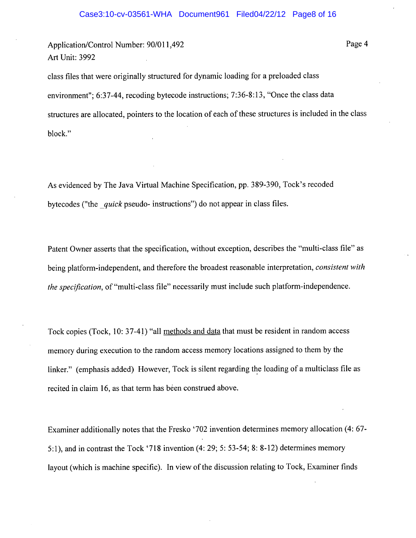Page 4

class files that were originally structured for dynamic loading for a preloaded class environment"; 6:37-44, recoding bytecode instructions; 7:36-8:13, "Once the class data structures are allocated, pointers to the location of each of these structures is included in the class block."

As evidenced by The Java Virtual Machine Specification, pp. 389-390, Tock's recoded bytecodes ("the *quick* pseudo- instructions") do not appear in class files.

Patent Owner asserts that the specification, without exception, describes the "multi-class file" as being platform-independent, and therefore the broadest reasonable interpretation, consistent with the specification, of "multi-class file" necessarily must include such platform-independence.

Tock copies (Tock, 10: 37-41) "all methods and data that must be resident in random access memory during execution to the random access memory locations assigned to them by the linker." (emphasis added) However, Tock is silent regarding the loading of a multiclass file as recited in claim 16, as that term has been construed above.

Examiner additionally notes that the Fresko '702 invention determines memory allocation (4: 67-5:1), and in contrast the Tock '718 invention (4: 29; 5: 53-54; 8: 8-12) determines memory layout (which is machine specific). In view of the discussion relating to Tock, Examiner finds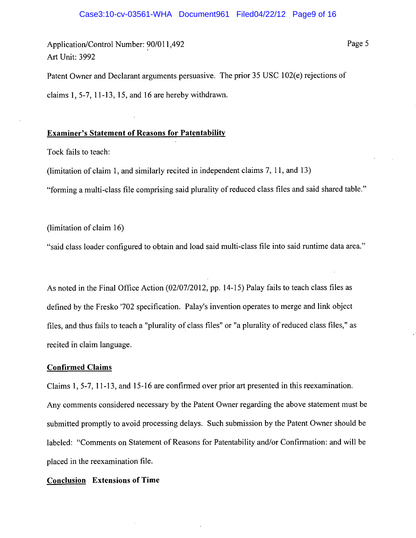Patent Owner and Declarant arguments persuasive. The prior 35 USC 102(e) rejections of claims  $1, 5-7, 11-13, 15,$  and 16 are hereby withdrawn.

## **Examiner's Statement of Reasons for Patentability**

Tock fails to teach:

(limitation of claim 1, and similarly recited in independent claims 7, 11, and 13)

"forming a multi-class file comprising said plurality of reduced class files and said shared table."

(limitation of claim 16)

"said class loader configured to obtain and load said multi-class file into said runtime data area."

As noted in the Final Office Action (02/07/2012, pp. 14-15) Palay fails to teach class files as defined by the Fresko '702 specification. Palay's invention operates to merge and link object files, and thus fails to teach a "plurality of class files" or "a plurality of reduced class files," as recited in claim language.

#### **Confirmed Claims**

Claims 1, 5-7, 11-13, and 15-16 are confirmed over prior art presented in this reexamination. Any comments considered necessary by the Patent Owner regarding the above statement must be submitted promptly to avoid processing delays. Such submission by the Patent Owner should be labeled: "Comments on Statement of Reasons for Patentability and/or Confirmation: and will be placed in the reexamination file.

#### **Conclusion** Extensions of Time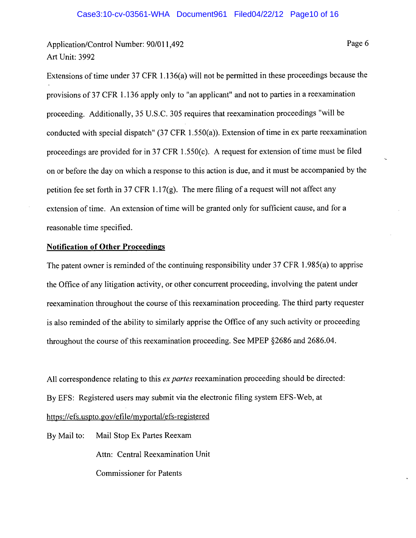Page 6

Extensions of time under 37 CFR 1.136(a) will not be permitted in these proceedings because the provisions of 37 CFR 1.136 apply only to "an applicant" and not to parties in a reexamination proceeding. Additionally, 35 U.S.C. 305 requires that reexamination proceedings "will be conducted with special dispatch"  $(37 \text{ CFR } 1.550(a))$ . Extension of time in ex parte reexamination proceedings are provided for in 37 CFR 1.550(c). A request for extension of time must be filed on or before the day on which a response to this action is due, and it must be accompanied by the petition fee set forth in 37 CFR 1.17 $(g)$ . The mere filing of a request will not affect any extension of time. An extension of time will be granted only for sufficient cause, and for a reasonable time specified.

## **Notification of Other Proceedings**

The patent owner is reminded of the continuing responsibility under 37 CFR 1.985(a) to apprise the Office of any litigation activity, or other concurrent proceeding, involving the patent under reexamination throughout the course of this reexamination proceeding. The third party requester is also reminded of the ability to similarly apprise the Office of any such activity or proceeding throughout the course of this reexamination proceeding. See MPEP §2686 and 2686.04.

All correspondence relating to this ex partes reexamination proceeding should be directed: By EFS: Registered users may submit via the electronic filing system EFS-Web, at https://efs.uspto.gov/efile/myportal/efs-registered

Mail Stop Ex Partes Reexam By Mail to: Attn: Central Reexamination Unit **Commissioner for Patents**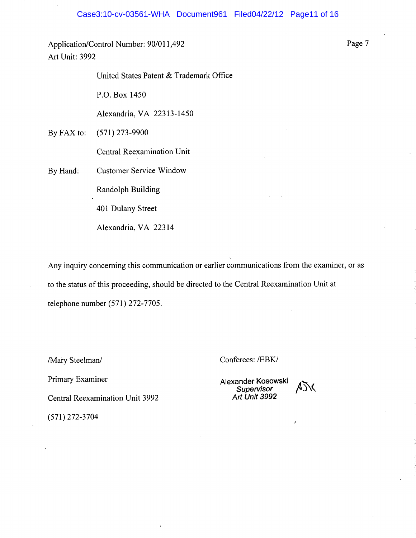United States Patent & Trademark Office

P.O. Box 1450

Alexandria, VA 22313-1450

By FAX to:  $(571)$  273-9900

Central Reexamination Unit

**Customer Service Window** By Hand:

Randolph Building

401 Dulany Street

Alexandria, VA 22314

Any inquiry concerning this communication or earlier communications from the examiner, or as to the status of this proceeding, should be directed to the Central Reexamination Unit at telephone number (571) 272-7705.

/Mary Steelman/

Primary Examiner

**Central Reexamination Unit 3992** 

Conferees: /EBK/

Alexander Kosowski Supervisor<br>Art Unit 3992



 $(571)$  272-3704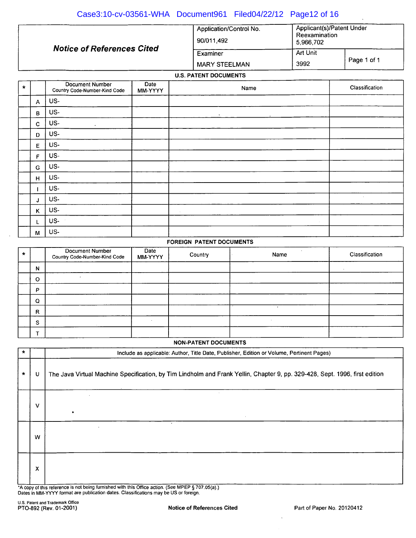| Case3:10-cv-03561-WHA Document961 Filed04/22/12 Page12 of 16 |                                       |                                                         |             |
|--------------------------------------------------------------|---------------------------------------|---------------------------------------------------------|-------------|
|                                                              | Application/Control No.<br>90/011.492 | Applicant(s)/Patent Under<br>Reexamination<br>5.966.702 |             |
| <b>Notice of References Cited</b>                            | Art Unit<br>Examiner                  |                                                         |             |
|                                                              | <b>MARY STEELMAN</b>                  | 3992                                                    | Page 1 of 1 |

#### **U.S. PATENT DOCUMENTS**

| $\star$ |              | Document Number<br>Country Code-Number-Kind Code | Date<br>MM-YYYY | Name                 | Classification |
|---------|--------------|--------------------------------------------------|-----------------|----------------------|----------------|
|         | $\mathsf{A}$ | US-                                              |                 |                      |                |
|         | B            | US-                                              |                 | $\bullet$<br>$\cdot$ |                |
|         | $\mathbf{C}$ | US-<br>$\epsilon$                                |                 |                      |                |
|         | D            | US-                                              |                 |                      |                |
|         | E            | US-                                              |                 |                      |                |
|         | $\mathbf{F}$ | US-                                              |                 |                      |                |
|         | G            | US-                                              |                 |                      |                |
|         | H            | US-                                              |                 |                      |                |
|         |              | US-                                              |                 |                      |                |
|         | J            | US-                                              |                 |                      | $\sim$         |
|         | K            | US-                                              |                 | $\sim$               |                |
|         | L            | US-                                              |                 | $\sim$               |                |
|         | M            | US-                                              |                 |                      |                |

#### **FOREIGN PATENT DOCUMENTS**

| $\star$ |              | Document Number<br>Country Code-Number-Kind Code | Date<br>MM-YYYY | Country | Name | Classification |
|---------|--------------|--------------------------------------------------|-----------------|---------|------|----------------|
|         | N            |                                                  |                 |         |      |                |
|         | $\circ$      |                                                  |                 |         |      |                |
|         | P            |                                                  |                 |         |      |                |
|         | Q            |                                                  |                 |         |      |                |
|         | $\mathsf{R}$ |                                                  |                 |         |      |                |
|         | s            |                                                  |                 |         |      |                |
|         |              |                                                  |                 |         |      |                |

|         | <b>NON-PATENT DOCUMENTS</b> |                                                                                                                             |  |  |  |  |
|---------|-----------------------------|-----------------------------------------------------------------------------------------------------------------------------|--|--|--|--|
| $\star$ |                             | Include as applicable: Author, Title Date, Publisher, Edition or Volume, Pertinent Pages)                                   |  |  |  |  |
| $\star$ | U                           | The Java Virtual Machine Specification, by Tim Lindholm and Frank Yellin, Chapter 9, pp. 329-428, Sept. 1996, first edition |  |  |  |  |
|         | $\vee$                      | ٠                                                                                                                           |  |  |  |  |
|         | W                           | $\ddot{\phantom{0}}$                                                                                                        |  |  |  |  |
|         | $\boldsymbol{\mathsf{x}}$   |                                                                                                                             |  |  |  |  |

\*A copy of this reference is not being furnished with this Office action. (See MPEP § 707.05(a).)<br>Dates in MM-YYYY format are publication dates. Classifications may be US or foreign.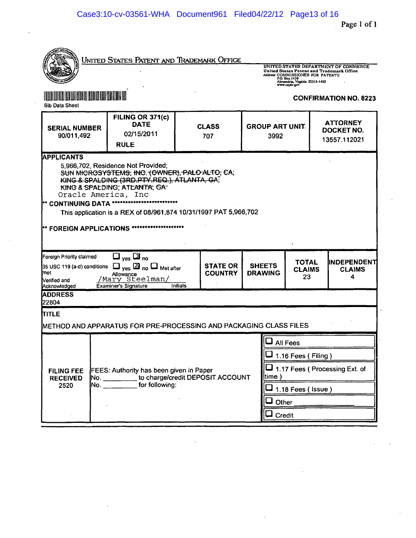| United States Patent and Trademark Office<br>UNITED STATES DEPARTMENT OF COMMERCE<br>United States Patent and Trademark Office<br>Addres: COMMISSIONER FOR PATENTS<br>P.O. Box 1450<br>Alexandria, Virginia 22313-1450<br>www.capto.gov                                                                                                                               |                                                                   |                     |                                                                             |                                |  |                                      |  |                                        |
|-----------------------------------------------------------------------------------------------------------------------------------------------------------------------------------------------------------------------------------------------------------------------------------------------------------------------------------------------------------------------|-------------------------------------------------------------------|---------------------|-----------------------------------------------------------------------------|--------------------------------|--|--------------------------------------|--|----------------------------------------|
| <b>EN DE DE LA DE LA DE LA DE LA DEFENIT</b><br><b>Bib Data Sheet</b>                                                                                                                                                                                                                                                                                                 |                                                                   |                     |                                                                             |                                |  |                                      |  | <b>CONFIRMATION NO. 8223</b>           |
| <b>SERIAL NUMBER</b><br>90/011,492                                                                                                                                                                                                                                                                                                                                    | FILING OR 371(c)<br><b>DATE</b><br>02/15/2011<br><b>RULE</b>      | <b>CLASS</b><br>707 |                                                                             | <b>GROUP ART UNIT.</b><br>3992 |  |                                      |  | ATTORNEY<br>DOCKET NO.<br>13557.112021 |
| <b>APPLICANTS</b><br>5,966,702, Residence Not Provided;<br>SUN MICROSYSTEMS, INC. (OWNER), PALO-ALTO, CA;<br>KING & SPALDING (3RD.PTY.REQ.), ATLANTA, GA,<br>KING & SPALDING, ATLANTA, GA-<br>Oracle America, Inc<br>** CONTINUING DATA *<br>This application is a REX of 08/961,874 10/31/1997 PAT 5,966,702<br>******************<br><b>** FOREIGN APPLICATIONS</b> |                                                                   |                     |                                                                             |                                |  |                                      |  |                                        |
| $\Box$ yes $\Box$ no<br>Foreign Priority claimed<br><b>STATE OR</b><br>$\Box$ $_{\text{ves}}$ $\boxtimes$ no $\Box$ Met after<br>35 USC 119 (a-d) conditions<br>met<br><b>COUNTRY</b><br>Allowance<br>'Mary Steelman/<br>Nerified and<br><b>Examiner's Signature</b><br>Initials<br>Acknowledged                                                                      |                                                                   |                     | <b>TOTAL</b><br><b>SHEETS</b><br><b>CLAIMS</b><br><b>DRAWING</b><br>23<br>4 |                                |  | <b>IINDEPENDENT</b><br><b>CLAIMS</b> |  |                                        |
| <b>ADDRESS</b><br>22804                                                                                                                                                                                                                                                                                                                                               |                                                                   |                     |                                                                             |                                |  |                                      |  |                                        |
| <b>ITITLE</b>                                                                                                                                                                                                                                                                                                                                                         | METHOD AND APPARATUS FOR PRE-PROCESSING AND PACKAGING CLASS FILES |                     |                                                                             |                                |  |                                      |  |                                        |
| <b>All Fees</b><br>$\Box$ 1.16 Fees ( Filing )<br>$\Box$ 1.17 Fees (Processing Ext. of<br>FEES: Authority has been given in Paper<br><b>FILING FEE</b><br>time)<br>No. ____________to charge/credit DEPOSIT ACCOUNT<br><b>RECEIVED</b><br>for following:<br>No. _______<br>2520<br>$\overline{\mathsf{I}}$ 1.18 Fees ( Issue )<br>Other<br>Credit                     |                                                                   |                     |                                                                             |                                |  |                                      |  |                                        |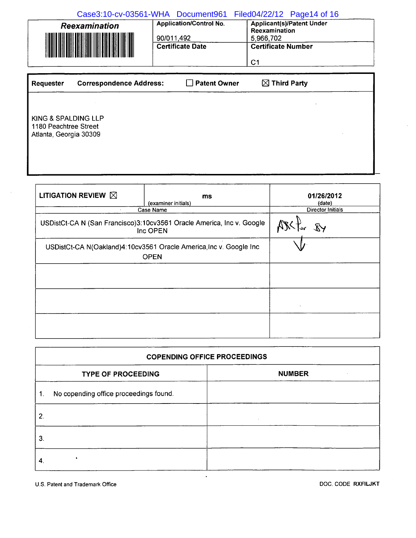Case3:10-cv-03561-WHA Document961 Filed04/22/12 Page14 of 16

| <b>Reexamination</b>           | <b>Application/Control No.</b><br>90/011.492 | <b>Applicant(s)/Patent Under</b><br>Reexamination<br>5.966,702 |  |  |  |
|--------------------------------|----------------------------------------------|----------------------------------------------------------------|--|--|--|
| <u> TIMBER KANSAS KANSAS K</u> | <b>Certificate Date</b>                      | <b>Certificate Number</b><br>C1                                |  |  |  |

| <b>Requester</b>                                                       | <b>Correspondence Address:</b> | □ Patent Owner | $\boxtimes$ Third Party |
|------------------------------------------------------------------------|--------------------------------|----------------|-------------------------|
|                                                                        |                                |                |                         |
| KING & SPALDING LLP<br>1180 Peachtree Street<br>Atlanta, Georgia 30309 |                                |                |                         |
|                                                                        |                                |                |                         |

| LITIGATION REVIEW $\boxtimes$                                                     | ms<br>(examiner initials)                                                         | 01/26/2012<br>(date)     |
|-----------------------------------------------------------------------------------|-----------------------------------------------------------------------------------|--------------------------|
| $\cdot$                                                                           | Case Name                                                                         | <b>Director Initials</b> |
|                                                                                   | USDistCt-CA N (San Francisco)3:10cv3561 Oracle America, Inc v. Google<br>Inc OPEN | $\chi$                   |
| USDistCt-CA N(Oakland)4:10cv3561 Oracle America, Inc v. Google Inc<br><b>OPEN</b> |                                                                                   |                          |
|                                                                                   |                                                                                   |                          |
|                                                                                   |                                                                                   |                          |
|                                                                                   |                                                                                   |                          |

| <b>COPENDING OFFICE PROCEEDINGS</b>          |        |  |  |  |  |  |  |  |  |  |
|----------------------------------------------|--------|--|--|--|--|--|--|--|--|--|
| <b>NUMBER</b><br><b>TYPE OF PROCEEDING</b>   |        |  |  |  |  |  |  |  |  |  |
| No copending office proceedings found.<br>1. |        |  |  |  |  |  |  |  |  |  |
| 2.                                           | $\sim$ |  |  |  |  |  |  |  |  |  |
| 3.                                           |        |  |  |  |  |  |  |  |  |  |
| 4.                                           |        |  |  |  |  |  |  |  |  |  |

U.S. Patent and Trademark Office

DOC. CODE RXFILJKT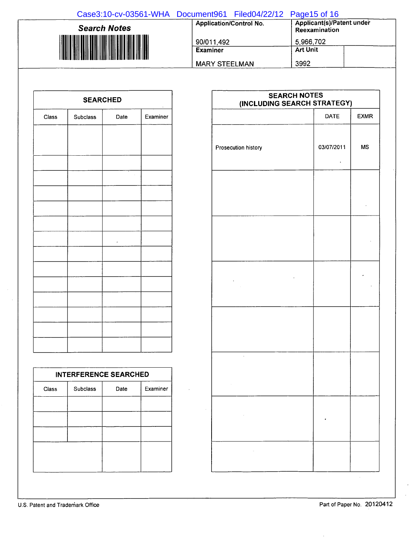| Case3:10-cv-03561-WHA Document961 Filed04/22/12 Page15 of 16 |                                |                                            |
|--------------------------------------------------------------|--------------------------------|--------------------------------------------|
| <b>Search Notes</b>                                          | <b>Application/Control No.</b> | Applicant(s)/Patent under<br>Reexamination |
|                                                              | 90/011,492                     | 5,966,702                                  |
|                                                              | <b>Examiner</b>                | <b>Art Unit</b>                            |
|                                                              | <b>MARY STEELMAN</b>           | 3992                                       |

| <b>SEARCHED</b> |          |      |          |  |  |  |  |  |  |  |  |
|-----------------|----------|------|----------|--|--|--|--|--|--|--|--|
| Class           | Subclass | Date | Examiner |  |  |  |  |  |  |  |  |
|                 |          |      |          |  |  |  |  |  |  |  |  |
|                 |          |      |          |  |  |  |  |  |  |  |  |
|                 |          |      |          |  |  |  |  |  |  |  |  |
|                 |          |      |          |  |  |  |  |  |  |  |  |
|                 |          |      |          |  |  |  |  |  |  |  |  |
|                 |          |      |          |  |  |  |  |  |  |  |  |
|                 |          |      |          |  |  |  |  |  |  |  |  |
|                 |          | ł    |          |  |  |  |  |  |  |  |  |
|                 |          |      |          |  |  |  |  |  |  |  |  |
|                 |          |      |          |  |  |  |  |  |  |  |  |
|                 |          |      |          |  |  |  |  |  |  |  |  |
|                 |          |      |          |  |  |  |  |  |  |  |  |
|                 |          |      |          |  |  |  |  |  |  |  |  |
|                 |          |      |          |  |  |  |  |  |  |  |  |
|                 |          |      |          |  |  |  |  |  |  |  |  |

| <b>INTERFERENCE SEARCHED</b> |                 |      |          |  |  |  |  |  |  |  |  |  |
|------------------------------|-----------------|------|----------|--|--|--|--|--|--|--|--|--|
| Class                        | <b>Subclass</b> | Date | Examiner |  |  |  |  |  |  |  |  |  |
|                              |                 |      |          |  |  |  |  |  |  |  |  |  |
|                              |                 |      |          |  |  |  |  |  |  |  |  |  |
|                              |                 |      |          |  |  |  |  |  |  |  |  |  |
|                              |                 |      |          |  |  |  |  |  |  |  |  |  |
|                              |                 |      |          |  |  |  |  |  |  |  |  |  |
|                              |                 |      |          |  |  |  |  |  |  |  |  |  |

| <b>SEARCH NOTES</b><br>(INCLUDING SEARCH STRATEGY) |            |             |  |  |  |  |  |  |  |  |  |
|----------------------------------------------------|------------|-------------|--|--|--|--|--|--|--|--|--|
|                                                    | DATE       | <b>EXMR</b> |  |  |  |  |  |  |  |  |  |
| Prosecution history                                | 03/07/2011 | <b>MS</b>   |  |  |  |  |  |  |  |  |  |
|                                                    |            |             |  |  |  |  |  |  |  |  |  |
|                                                    |            |             |  |  |  |  |  |  |  |  |  |
|                                                    |            |             |  |  |  |  |  |  |  |  |  |
|                                                    |            |             |  |  |  |  |  |  |  |  |  |
| J.                                                 |            |             |  |  |  |  |  |  |  |  |  |
| $\sim 10^{11}$ km s $^{-1}$                        |            |             |  |  |  |  |  |  |  |  |  |
| $\sim$                                             |            |             |  |  |  |  |  |  |  |  |  |

 $\bar{z}$